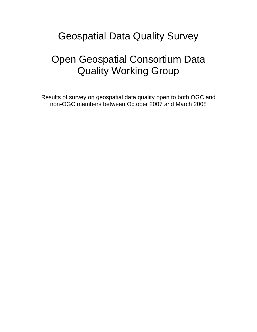## Geospatial Data Quality Survey

## Open Geospatial Consortium Data Quality Working Group

Results of survey on geospatial data quality open to both OGC and non-OGC members between October 2007 and March 2008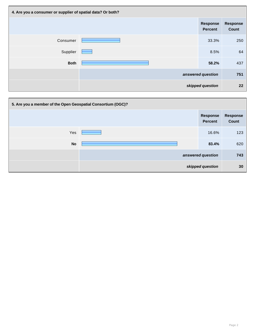| 4. Are you a consumer or supplier of spatial data? Or both? |             |                                   |                                 |
|-------------------------------------------------------------|-------------|-----------------------------------|---------------------------------|
|                                                             |             | <b>Response</b><br><b>Percent</b> | <b>Response</b><br><b>Count</b> |
| Consumer                                                    |             | 33.3%                             | 250                             |
| Supplier                                                    | a a shekara | 8.5%                              | 64                              |
| <b>Both</b>                                                 |             | 58.2%                             | 437                             |
|                                                             |             | answered question                 | 751                             |
| skipped question                                            |             | 22                                |                                 |

| 5. Are you a member of the Open Geospatial Consortium (OGC)? |  |                                   |                          |
|--------------------------------------------------------------|--|-----------------------------------|--------------------------|
|                                                              |  | <b>Response</b><br><b>Percent</b> | Response<br><b>Count</b> |
| Yes                                                          |  | 16.6%                             | 123                      |
| <b>No</b>                                                    |  | 83.4%                             | 620                      |
|                                                              |  | answered question                 | 743                      |
|                                                              |  | skipped question                  | 30                       |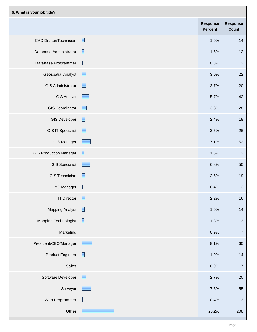| 6. What is your job title?    |                                             |                                   |                                 |
|-------------------------------|---------------------------------------------|-----------------------------------|---------------------------------|
|                               |                                             | <b>Response</b><br><b>Percent</b> | <b>Response</b><br><b>Count</b> |
| <b>CAD Drafter/Technician</b> | E                                           | 1.9%                              | 14                              |
| Database Administrator        | E                                           | 1.6%                              | 12                              |
| Database Programmer           | $\mathbb I$                                 | 0.3%                              | $\overline{2}$                  |
| <b>Geospatial Analyst</b>     | $\blacksquare$                              | 3.0%                              | 22                              |
| <b>GIS Administrator</b>      | E                                           | 2.7%                              | 20                              |
| <b>GIS Analyst</b>            | $\overline{\phantom{a}}$                    | 5.7%                              | 42                              |
| <b>GIS Coordinator</b>        | H                                           | 3.8%                              | 28                              |
| <b>GIS Developer</b>          | E                                           | 2.4%                              | 18                              |
| <b>GIS IT Specialist</b>      | $\sim$                                      | 3.5%                              | 26                              |
| <b>GIS Manager</b>            |                                             | 7.1%                              | 52                              |
| <b>GIS Production Manager</b> | $\Box$                                      | 1.6%                              | 12                              |
| <b>GIS Specialist</b>         | $\overline{\phantom{a}}$                    | 6.8%                              | 50                              |
| <b>GIS Technician</b>         | E                                           | 2.6%                              | 19                              |
| <b>IMS Manager</b>            | $\begin{bmatrix} \phantom{-} \end{bmatrix}$ | 0.4%                              | $\mathbf{3}$                    |
| <b>IT Director</b>            | $\Box$                                      | 2.2%                              | $16$                            |
| <b>Mapping Analyst</b>        | E                                           | 1.9%                              | $14$                            |
| <b>Mapping Technologist</b>   | $\blacksquare$                              | 1.8%                              | 13                              |
| Marketing                     | $\begin{array}{c} \end{array}$              | 0.9%                              | $\overline{7}$                  |
| President/CEO/Manager         | <b>Property</b>                             | 8.1%                              | 60                              |
| <b>Product Engineer</b>       | E                                           | 1.9%                              | $14$                            |
| Sales                         | $\begin{array}{c} \end{array}$              | 0.9%                              | $\overline{7}$                  |
| Software Developer            | E                                           | 2.7%                              | 20                              |
| Surveyor                      | المناقصة                                    | 7.5%                              | 55                              |
| Web Programmer                | $\mathbb I$                                 | 0.4%                              | $\mathbf{3}$                    |
| Other                         |                                             | 28.2%                             | 208                             |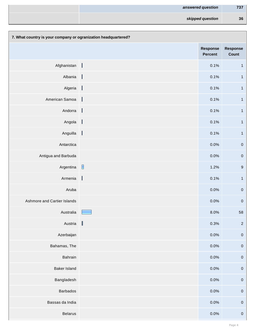| answered question | 737 |
|-------------------|-----|
| skipped question  | 36  |

| 7. What country is your company or ogranization headquartered? |                |                                   |                          |
|----------------------------------------------------------------|----------------|-----------------------------------|--------------------------|
|                                                                |                | <b>Response</b><br><b>Percent</b> | <b>Response</b><br>Count |
| Afghanistan                                                    |                | 0.1%                              | $\mathbf{1}$             |
| Albania                                                        | $\blacksquare$ | 0.1%                              | $\mathbf{1}$             |
| Algeria                                                        |                | 0.1%                              | $\mathbf{1}$             |
| American Samoa                                                 |                | 0.1%                              | $\mathbf{1}$             |
| Andorra                                                        | $\blacksquare$ | 0.1%                              | $\overline{1}$           |
| Angola                                                         |                | 0.1%                              | $\mathbf 1$              |
| Anguilla                                                       |                | 0.1%                              | $\mathbf{1}$             |
| Antarctica                                                     |                | 0.0%                              | ${\bf 0}$                |
| Antigua and Barbuda                                            |                | 0.0%                              | ${\bf 0}$                |
| Argentina                                                      |                | 1.2%                              | $\boldsymbol{9}$         |
| Armenia                                                        | $\mathbb{I}$   | 0.1%                              | $\mathbf{1}$             |
| Aruba                                                          |                | 0.0%                              | $\pmb{0}$                |
| Ashmore and Cartier Islands                                    |                | 0.0%                              | $\pmb{0}$                |
| Australia                                                      |                | 8.0%                              | 58                       |
| Austria                                                        | $\mathbb I$    | 0.3%                              | $\overline{2}$           |
| Azerbaijan                                                     |                | 0.0%                              | $\pmb{0}$                |
| Bahamas, The                                                   |                | 0.0%                              | $\pmb{0}$                |
| <b>Bahrain</b>                                                 |                | 0.0%                              | $\pmb{0}$                |
| <b>Baker Island</b>                                            |                | 0.0%                              | $\pmb{0}$                |
| Bangladesh                                                     |                | 0.0%                              | $\pmb{0}$                |
| <b>Barbados</b>                                                |                | 0.0%                              | $\pmb{0}$                |
| Bassas da India                                                |                | 0.0%                              | $\pmb{0}$                |
| <b>Belarus</b>                                                 |                | 0.0%                              | $\pmb{0}$                |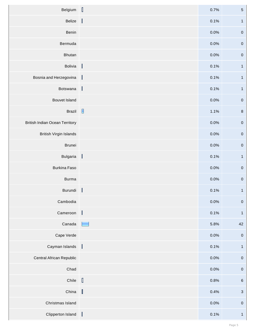| Belgium                               |                          | 0.7% | $\sqrt{5}$              |
|---------------------------------------|--------------------------|------|-------------------------|
| Belize                                | $\overline{\phantom{a}}$ | 0.1% | $\overline{\mathbf{1}}$ |
| <b>Benin</b>                          |                          | 0.0% | $\pmb{0}$               |
| Bermuda                               |                          | 0.0% | $\pmb{0}$               |
| <b>Bhutan</b>                         |                          | 0.0% | $\pmb{0}$               |
| Bolivia                               |                          | 0.1% | $\mathbf{1}$            |
| Bosnia and Herzegovina                | J.                       | 0.1% | $\mathbf{1}$            |
| Botswana                              | $\mathbb{I}$             | 0.1% | $\overline{\mathbf{1}}$ |
| <b>Bouvet Island</b>                  |                          | 0.0% | $\pmb{0}$               |
| <b>Brazil</b>                         |                          | 1.1% | $\, 8$                  |
| <b>British Indian Ocean Territory</b> |                          | 0.0% | $\pmb{0}$               |
| <b>British Virgin Islands</b>         |                          | 0.0% | $\pmb{0}$               |
| <b>Brunei</b>                         |                          | 0.0% | $\pmb{0}$               |
| Bulgaria                              |                          | 0.1% | $\overline{1}$          |
| <b>Burkina Faso</b>                   |                          | 0.0% | $\pmb{0}$               |
| <b>Burma</b>                          |                          | 0.0% | $\pmb{0}$               |
| Burundi                               | $\mathbb{R}$             | 0.1% | $\overline{1}$          |
| Cambodia                              |                          | 0.0% | $\pmb{0}$               |
| Cameroon                              | $\mathbf{I}$             | 0.1% | $\mathbf{1}$            |
| Canada                                | -                        | 5.8% | 42                      |
| Cape Verde                            |                          | 0.0% | $\pmb{0}$               |
| Cayman Islands                        | $\mathbf{I}$             | 0.1% | $\overline{1}$          |
| <b>Central African Republic</b>       |                          | 0.0% | $\pmb{0}$               |
| Chad                                  |                          | 0.0% | $\pmb{0}$               |
| Chile                                 |                          | 0.8% | $\,6\,$                 |
| China                                 | $\mathbb{I}$             | 0.4% | $\mathbf{3}$            |
| Christmas Island                      |                          | 0.0% | $\pmb{0}$               |
| Clipperton Island                     |                          | 0.1% | $\mathbf{1}$            |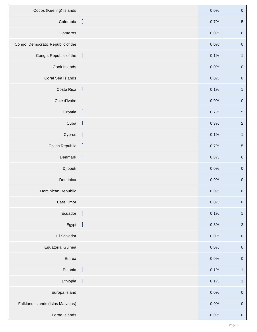| Cocos (Keeling) Islands           |                                             | 0.0% | $\boldsymbol{0}$ |
|-----------------------------------|---------------------------------------------|------|------------------|
| Colombia                          | $\begin{array}{c} \end{array}$              | 0.7% | $\sqrt{5}$       |
| Comoros                           |                                             | 0.0% | $\pmb{0}$        |
| Congo, Democratic Republic of the |                                             | 0.0% | $\boldsymbol{0}$ |
| Congo, Republic of the            | a ka                                        | 0.1% | $\mathbf{1}$     |
| Cook Islands                      |                                             | 0.0% | $\boldsymbol{0}$ |
| Coral Sea Islands                 |                                             | 0.0% | $\boldsymbol{0}$ |
| Costa Rica                        | $\blacksquare$                              | 0.1% | $\mathbf{1}$     |
| Cote d'Ivoire                     |                                             | 0.0% | $\boldsymbol{0}$ |
| Croatia                           |                                             | 0.7% | $\sqrt{5}$       |
| Cuba                              | $\blacksquare$                              | 0.3% | $\overline{2}$   |
| Cyprus                            | $\blacksquare$                              | 0.1% | $\mathbf{1}$     |
| <b>Czech Republic</b>             | $\begin{bmatrix} \phantom{-} \end{bmatrix}$ | 0.7% | $\sqrt{5}$       |
| Denmark $\Box$                    |                                             | 0.8% | $\,6\,$          |
| Djibouti                          |                                             | 0.0% | $\boldsymbol{0}$ |
| Dominica                          |                                             | 0.0% | $\boldsymbol{0}$ |
| Dominican Republic                |                                             | 0.0% | $\boldsymbol{0}$ |
| East Timor                        |                                             | 0.0% | $\pmb{0}$        |
| Ecuador                           |                                             | 0.1% | $\mathbf{1}$     |
| Egypt $\ $                        |                                             | 0.3% | $\overline{2}$   |
| El Salvador                       |                                             | 0.0% | $\boldsymbol{0}$ |
| <b>Equatorial Guinea</b>          |                                             | 0.0% | $\boldsymbol{0}$ |
| Eritrea                           |                                             | 0.0% | $\boldsymbol{0}$ |
| Estonia                           | $\blacksquare$                              | 0.1% | $\mathbf{1}$     |
| Ethiopia                          | $\blacksquare$                              | 0.1% | $\mathbf{1}$     |
| Europa Island                     |                                             | 0.0% | $\boldsymbol{0}$ |
| Falkland Islands (Islas Malvinas) |                                             | 0.0% | $\boldsymbol{0}$ |
| Faroe Islands                     |                                             | 0.0% | $\boldsymbol{0}$ |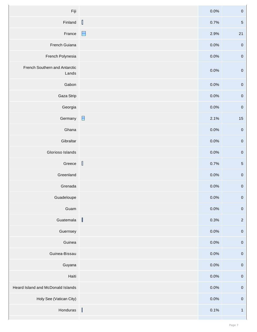| Fiji                                   |                                | 0.0% | $\boldsymbol{0}$ |
|----------------------------------------|--------------------------------|------|------------------|
| Finland                                | $\begin{array}{c} \end{array}$ | 0.7% | $\overline{5}$   |
| France                                 | $\blacksquare$                 | 2.9% | 21               |
| French Guiana                          |                                | 0.0% | $\boldsymbol{0}$ |
| French Polynesia                       |                                | 0.0% | $\boldsymbol{0}$ |
| French Southern and Antarctic<br>Lands |                                | 0.0% | $\boldsymbol{0}$ |
| Gabon                                  |                                | 0.0% | $\pmb{0}$        |
| Gaza Strip                             |                                | 0.0% | $\boldsymbol{0}$ |
| Georgia                                |                                | 0.0% | $\boldsymbol{0}$ |
| Germany                                | $\blacksquare$                 | 2.1% | $15\,$           |
| Ghana                                  |                                | 0.0% | $\boldsymbol{0}$ |
| Gibraltar                              |                                | 0.0% | $\pmb{0}$        |
| Glorioso Islands                       |                                | 0.0% | $\mathbf{0}$     |
| Greece                                 | $\overline{\mathbf{r}}$        | 0.7% | $5\phantom{.0}$  |
| Greenland                              |                                | 0.0% | $\boldsymbol{0}$ |
| Grenada                                |                                | 0.0% | $\boldsymbol{0}$ |
| Guadeloupe                             |                                | 0.0% | $\pmb{0}$        |
| Guam                                   |                                | 0.0% | $\boldsymbol{0}$ |
| Guatemala                              | $\mathbb I$                    | 0.3% | $\overline{2}$   |
| Guernsey                               |                                | 0.0% | $\boldsymbol{0}$ |
| Guinea                                 |                                | 0.0% | $\boldsymbol{0}$ |
| Guinea-Bissau                          |                                | 0.0% | $\pmb{0}$        |
| Guyana                                 |                                | 0.0% | $\boldsymbol{0}$ |
| Haiti                                  |                                | 0.0% | $\pmb{0}$        |
| Heard Island and McDonald Islands      |                                | 0.0% | $\boldsymbol{0}$ |
| Holy See (Vatican City)                |                                | 0.0% | $\boldsymbol{0}$ |
| Honduras                               |                                | 0.1% | $\mathbf{1}$     |
|                                        |                                |      |                  |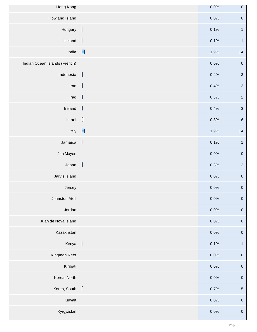| Hong Kong                     |                                                                                                                                                                                                                                                                                                                                                                      | 0.0%    | $\pmb{0}$        |
|-------------------------------|----------------------------------------------------------------------------------------------------------------------------------------------------------------------------------------------------------------------------------------------------------------------------------------------------------------------------------------------------------------------|---------|------------------|
| <b>Howland Island</b>         |                                                                                                                                                                                                                                                                                                                                                                      | 0.0%    | $\pmb{0}$        |
| Hungary                       |                                                                                                                                                                                                                                                                                                                                                                      | 0.1%    | $\mathbf{1}$     |
| Iceland                       | $\overline{\phantom{a}}$                                                                                                                                                                                                                                                                                                                                             | 0.1%    | $\mathbf{1}$     |
| India                         | $\blacksquare$                                                                                                                                                                                                                                                                                                                                                       | 1.9%    | $14$             |
| Indian Ocean Islands (French) |                                                                                                                                                                                                                                                                                                                                                                      | 0.0%    | $\pmb{0}$        |
| Indonesia                     | $\begin{array}{c} \end{array}$                                                                                                                                                                                                                                                                                                                                       | 0.4%    | $\mathbf{3}$     |
| Iran                          | $\begin{bmatrix} \phantom{-} \end{bmatrix}$                                                                                                                                                                                                                                                                                                                          | 0.4%    | $\mathbf{3}$     |
| Iraq                          | $\mathbb{I}$                                                                                                                                                                                                                                                                                                                                                         | 0.3%    | $\sqrt{2}$       |
| Ireland                       | $\begin{array}{c} \end{array}$                                                                                                                                                                                                                                                                                                                                       | 0.4%    | $\mathbf{3}$     |
| Israel                        | $\begin{array}{c} \end{array}$                                                                                                                                                                                                                                                                                                                                       | 0.8%    | $\,6\,$          |
| Italy                         | $\blacksquare$                                                                                                                                                                                                                                                                                                                                                       | 1.9%    | 14               |
| Jamaica                       | $\mathbb{I}$                                                                                                                                                                                                                                                                                                                                                         | 0.1%    | $\overline{1}$   |
| Jan Mayen                     |                                                                                                                                                                                                                                                                                                                                                                      | $0.0\%$ | $\overline{0}$   |
| Japan                         | $\begin{array}{c} \end{array}$                                                                                                                                                                                                                                                                                                                                       | 0.3%    | $\overline{2}$   |
| Jarvis Island                 |                                                                                                                                                                                                                                                                                                                                                                      | 0.0%    | $\pmb{0}$        |
| Jersey                        |                                                                                                                                                                                                                                                                                                                                                                      | 0.0%    | $\pmb{0}$        |
| Johnston Atoll                |                                                                                                                                                                                                                                                                                                                                                                      | 0.0%    | $\pmb{0}$        |
| Jordan                        |                                                                                                                                                                                                                                                                                                                                                                      | 0.0%    | $\pmb{0}$        |
| Juan de Nova Island           |                                                                                                                                                                                                                                                                                                                                                                      | 0.0%    | $\pmb{0}$        |
| Kazakhstan                    |                                                                                                                                                                                                                                                                                                                                                                      | 0.0%    | $\pmb{0}$        |
| Kenya                         |                                                                                                                                                                                                                                                                                                                                                                      | 0.1%    | $\mathbf{1}$     |
| Kingman Reef                  |                                                                                                                                                                                                                                                                                                                                                                      | 0.0%    | $\pmb{0}$        |
| Kiribati                      |                                                                                                                                                                                                                                                                                                                                                                      | 0.0%    | $\pmb{0}$        |
| Korea, North                  |                                                                                                                                                                                                                                                                                                                                                                      | 0.0%    | $\pmb{0}$        |
| Korea, South                  | $[] \centering \includegraphics[width=0.47\textwidth]{images/TransY_1.png} \caption{The first two different values of $100$ K, $100$ K, $100$ K, $100$ K, $100$ K, $100$ K, $100$ K, $100$ K, $100$ K, $100$ K, $100$ K, $100$ K, $100$ K, $100$ K, $100$ K, $100$ K, $100$ K, $100$ K, $100$ K, $100$ K, $100$ K, $100$ K, $100$ K, $100$ K, $100$ K, $100$ K, $10$ | 0.7%    | $\sqrt{5}$       |
| Kuwait                        |                                                                                                                                                                                                                                                                                                                                                                      | 0.0%    | $\boldsymbol{0}$ |
| Kyrgyzstan                    |                                                                                                                                                                                                                                                                                                                                                                      | $0.0\%$ | $\boldsymbol{0}$ |
|                               |                                                                                                                                                                                                                                                                                                                                                                      |         |                  |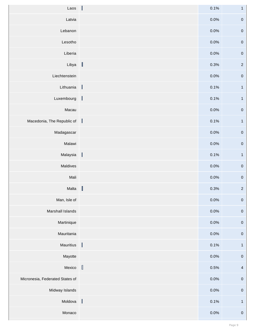| Laos $\ $                       |                                             | 0.1% | $\mathbf{1}$            |
|---------------------------------|---------------------------------------------|------|-------------------------|
| Latvia                          |                                             | 0.0% | $\pmb{0}$               |
| Lebanon                         |                                             | 0.0% | $\pmb{0}$               |
| Lesotho                         |                                             | 0.0% | $\pmb{0}$               |
| Liberia                         |                                             | 0.0% | $\pmb{0}$               |
| Libya                           | $\mathbb{I}$                                | 0.3% | $\overline{2}$          |
| Liechtenstein                   |                                             | 0.0% | $\pmb{0}$               |
| Lithuania                       | $\overline{\phantom{a}}$                    | 0.1% | $\mathbf{1}$            |
| Luxembourg                      | $\mathbb{I}$                                | 0.1% | $\overline{1}$          |
| Macau                           |                                             | 0.0% | $\pmb{0}$               |
| Macedonia, The Republic of      |                                             | 0.1% | $\mathbf{1}$            |
| Madagascar                      |                                             | 0.0% | $\pmb{0}$               |
| Malawi                          |                                             | 0.0% | $\pmb{0}$               |
| Malaysia                        |                                             | 0.1% | $\overline{1}$          |
| Maldives                        |                                             | 0.0% | $\pmb{0}$               |
| Mali                            |                                             | 0.0% | $\pmb{0}$               |
| Malta                           | $\begin{bmatrix} \phantom{-} \end{bmatrix}$ | 0.3% | $\sqrt{2}$              |
| Man, Isle of                    |                                             | 0.0% | $\pmb{0}$               |
| Marshall Islands                |                                             | 0.0% | $\pmb{0}$               |
| Martinique                      |                                             | 0.0% | $\pmb{0}$               |
| Mauritania                      |                                             | 0.0% | $\pmb{0}$               |
| Mauritius                       | I                                           | 0.1% | $\overline{\mathbf{1}}$ |
| Mayotte                         |                                             | 0.0% | $\pmb{0}$               |
| Mexico                          | $\mathbb I$                                 | 0.5% | $\overline{4}$          |
| Micronesia, Federated States of |                                             | 0.0% | $\pmb{0}$               |
| Midway Islands                  |                                             | 0.0% | $\pmb{0}$               |
| Moldova                         |                                             | 0.1% | $\mathbf{1}$            |
| Monaco                          |                                             | 0.0% | ${\bf 0}$               |
|                                 |                                             |      |                         |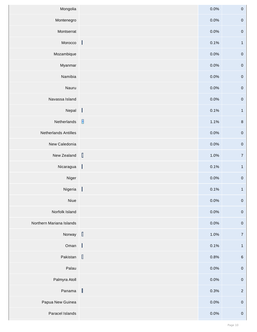| Mongolia                                    |                          | 0.0% | $\boldsymbol{0}$ |
|---------------------------------------------|--------------------------|------|------------------|
| Montenegro                                  |                          | 0.0% | $\pmb{0}$        |
| Montserrat                                  |                          | 0.0% | $\boldsymbol{0}$ |
| Morocco                                     | $\mathbf{I}$             | 0.1% | $\mathbf{1}$     |
| Mozambique                                  |                          | 0.0% | $\boldsymbol{0}$ |
| Myanmar                                     |                          | 0.0% | $\boldsymbol{0}$ |
| Namibia                                     |                          | 0.0% | $\boldsymbol{0}$ |
| Nauru                                       |                          | 0.0% | $\boldsymbol{0}$ |
| Navassa Island                              |                          | 0.0% | $\boldsymbol{0}$ |
| Nepal                                       |                          | 0.1% | $\mathbf{1}$     |
| Netherlands                                 |                          | 1.1% | $\,8\,$          |
| <b>Netherlands Antilles</b>                 |                          | 0.0% | $\pmb{0}$        |
| New Caledonia                               |                          | 0.0% | $\boldsymbol{0}$ |
| New Zealand $\begin{bmatrix} \end{bmatrix}$ |                          | 1.0% | $\overline{7}$   |
| Nicaragua                                   | $\blacksquare$           | 0.1% | $\mathbf{1}$     |
| Niger                                       |                          | 0.0% | $\pmb{0}$        |
| Nigeria                                     | $\overline{\phantom{a}}$ | 0.1% | $\mathbf{1}$     |
| Niue                                        |                          | 0.0% | $\boldsymbol{0}$ |
| Norfolk Island                              |                          | 0.0% | $\boldsymbol{0}$ |
| Northern Mariana Islands                    |                          | 0.0% | $\boldsymbol{0}$ |
| Norway $\Box$                               |                          | 1.0% | $\overline{7}$   |
| Oman                                        | $\blacksquare$           | 0.1% | $\overline{1}$   |
| Pakistan                                    |                          | 0.8% | $\,6\,$          |
| Palau                                       |                          | 0.0% | $\boldsymbol{0}$ |
| Palmyra Atoll                               |                          | 0.0% | $\boldsymbol{0}$ |
| Panama                                      | $\mathbb{I}$             | 0.3% | $\overline{2}$   |
| Papua New Guinea                            |                          | 0.0% | $\pmb{0}$        |
| Paracel Islands                             |                          | 0.0% | $\pmb{0}$        |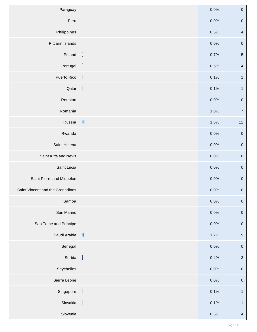| Paraguay                         |                | 0.0%    | $\pmb{0}$        |
|----------------------------------|----------------|---------|------------------|
| Peru                             |                | 0.0%    | $\pmb{0}$        |
| Philippines                      | $\mathbb{I}$   | 0.5%    | $\overline{4}$   |
| Pitcairn Islands                 |                | 0.0%    | $\pmb{0}$        |
| Poland                           | $\mathbb{I}$   | 0.7%    | $\sqrt{5}$       |
| Portugal $\left[\right]$         |                | 0.5%    | $\overline{4}$   |
| Puerto Rico                      |                | 0.1%    | $\mathbf{1}$     |
| Qatar $\vert$                    |                | 0.1%    | $\overline{1}$   |
| Reunion                          |                | 0.0%    | $\pmb{0}$        |
| Romania                          | $\Box$         | 1.0%    | $\overline{7}$   |
| Russia                           | $\blacksquare$ | 1.6%    | $12$             |
| Rwanda                           |                | 0.0%    | $\pmb{0}$        |
| Saint Helena                     |                | 0.0%    | $\pmb{0}$        |
| Saint Kitts and Nevis            |                | $0.0\%$ | $\overline{0}$   |
| Saint Lucia                      |                | 0.0%    | $\pmb{0}$        |
| Saint Pierre and Miquelon        |                | 0.0%    | $\pmb{0}$        |
| Saint Vincent and the Grenadines |                | 0.0%    | $\boldsymbol{0}$ |
| Samoa                            |                | 0.0%    | $\pmb{0}$        |
| San Marino                       |                | 0.0%    | $\pmb{0}$        |
| Sao Tome and Principe            |                | 0.0%    | $\pmb{0}$        |
| Saudi Arabia                     |                | 1.2%    | $\boldsymbol{9}$ |
| Senegal                          |                | 0.0%    | $\boldsymbol{0}$ |
| Serbia                           | $\mathbb{I}$   | 0.4%    | $\mathbf{3}$     |
| Seychelles                       |                | 0.0%    | $\pmb{0}$        |
| Sierra Leone                     |                | 0.0%    | $\pmb{0}$        |
| Singapore                        | $\mathbf{I}$   | 0.1%    | $\mathbf{1}$     |
| Slovakia                         | I              | 0.1%    | $\mathbf{1}$     |
| Slovenia                         |                | 0.5%    | $\overline{4}$   |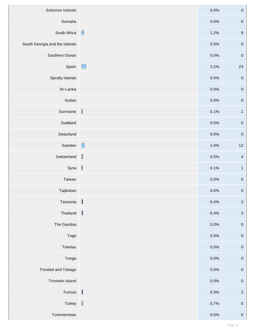| Solomon Islands               |                                                                                                                                                                                                                                                                                                                                                                                                                          | 0.0%    | $\pmb{0}$        |
|-------------------------------|--------------------------------------------------------------------------------------------------------------------------------------------------------------------------------------------------------------------------------------------------------------------------------------------------------------------------------------------------------------------------------------------------------------------------|---------|------------------|
| Somalia                       |                                                                                                                                                                                                                                                                                                                                                                                                                          | 0.0%    | $\pmb{0}$        |
| South Africa                  |                                                                                                                                                                                                                                                                                                                                                                                                                          | 1.2%    | $9$              |
| South Georgia and the Islands |                                                                                                                                                                                                                                                                                                                                                                                                                          | 0.0%    | $\boldsymbol{0}$ |
| Southern Ocean                |                                                                                                                                                                                                                                                                                                                                                                                                                          | 0.0%    | $\boldsymbol{0}$ |
| Spain                         | $\Box$                                                                                                                                                                                                                                                                                                                                                                                                                   | 3.2%    | 23               |
| <b>Spratly Islands</b>        |                                                                                                                                                                                                                                                                                                                                                                                                                          | 0.0%    | $\boldsymbol{0}$ |
| Sri Lanka                     |                                                                                                                                                                                                                                                                                                                                                                                                                          | 0.0%    | $\boldsymbol{0}$ |
| Sudan                         |                                                                                                                                                                                                                                                                                                                                                                                                                          | 0.0%    | $\boldsymbol{0}$ |
| Suriname                      | $\overline{\mathbf{r}}$                                                                                                                                                                                                                                                                                                                                                                                                  | 0.1%    | $\mathbf{1}$     |
| Svalbard                      |                                                                                                                                                                                                                                                                                                                                                                                                                          | 0.0%    | $\boldsymbol{0}$ |
| Swaziland                     |                                                                                                                                                                                                                                                                                                                                                                                                                          | 0.0%    | $\boldsymbol{0}$ |
| Sweden                        | $\blacksquare$                                                                                                                                                                                                                                                                                                                                                                                                           | 1.6%    | $12$             |
| Switzerland                   | $\begin{bmatrix} 1 \\ 2 \end{bmatrix}$                                                                                                                                                                                                                                                                                                                                                                                   | 0.5%    | $\overline{4}$   |
| Syria                         |                                                                                                                                                                                                                                                                                                                                                                                                                          | 0.1%    | $\mathbf{1}$     |
| Taiwan                        |                                                                                                                                                                                                                                                                                                                                                                                                                          | $0.0\%$ | $\boldsymbol{0}$ |
| Tajikistan                    |                                                                                                                                                                                                                                                                                                                                                                                                                          | 0.0%    | $\pmb{0}$        |
| Tanzania                      | $\begin{bmatrix} \phantom{-} \end{bmatrix}$                                                                                                                                                                                                                                                                                                                                                                              | 0.4%    | $\sqrt{3}$       |
| Thailand                      | $\begin{matrix} \end{matrix}$                                                                                                                                                                                                                                                                                                                                                                                            | 0.4%    | $\mathbf{3}$     |
| The Gambia                    |                                                                                                                                                                                                                                                                                                                                                                                                                          | 0.0%    | $\boldsymbol{0}$ |
| Togo                          |                                                                                                                                                                                                                                                                                                                                                                                                                          | 0.0%    | $\boldsymbol{0}$ |
| Tokelau                       |                                                                                                                                                                                                                                                                                                                                                                                                                          | 0.0%    | $\pmb{0}$        |
| Tonga                         |                                                                                                                                                                                                                                                                                                                                                                                                                          | 0.0%    | $\pmb{0}$        |
| <b>Trinidad and Tobago</b>    |                                                                                                                                                                                                                                                                                                                                                                                                                          | 0.0%    | $\pmb{0}$        |
| <b>Tromelin Island</b>        |                                                                                                                                                                                                                                                                                                                                                                                                                          | 0.0%    | $\boldsymbol{0}$ |
| Tunisia                       | $[] \centering \includegraphics[width=0.47\textwidth]{images/TrDiag} \caption{The first two different values of $D \sim 10^{-4} $, $D \sim 10^{-4} $, $D \sim 10^{-4} $, $D \sim 10^{-4} $, $D \sim 10^{-4} $, $D \sim 10^{-4} $, $D \sim 10^{-4} $, $D \sim 10^{-4} $, $D \sim 10^{-4} $, $D \sim 10^{-4} $, $D \sim 10^{-4} $, $D \sim 10^{-4} $, $D \sim 10^{-4} $, $D \sim 10^{-4} $, $D \sim 10^{-4} $, $D \sim 10$ | 0.3%    | $\overline{2}$   |
| Turkey                        | $\mathbb I$                                                                                                                                                                                                                                                                                                                                                                                                              | 0.7%    | $\sqrt{5}$       |
| Turkmenistan                  |                                                                                                                                                                                                                                                                                                                                                                                                                          | 0.0%    | $\mathbf{0}$     |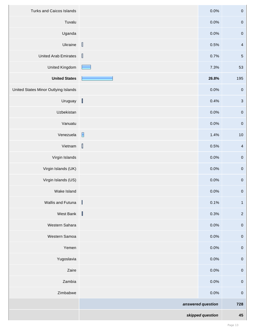| <b>Turks and Caicos Islands</b>             |                                        | 0.0%              | $\boldsymbol{0}$ |
|---------------------------------------------|----------------------------------------|-------------------|------------------|
| Tuvalu                                      |                                        | 0.0%              | $\boldsymbol{0}$ |
| Uganda                                      |                                        | 0.0%              | $\boldsymbol{0}$ |
| Ukraine                                     | $\begin{bmatrix} 1 \\ 2 \end{bmatrix}$ | 0.5%              | $\overline{4}$   |
| <b>United Arab Emirates</b>                 | $\mathbb{I}$                           | 0.7%              | $\sqrt{5}$       |
| <b>United Kingdom</b>                       | <b>Contract</b>                        | 7.3%              | 53               |
| <b>United States</b>                        |                                        | 26.8%             | 195              |
| <b>United States Minor Outlying Islands</b> |                                        | 0.0%              | $\boldsymbol{0}$ |
| Uruguay                                     | $\mathbb I$                            | 0.4%              | $\sqrt{3}$       |
| Uzbekistan                                  |                                        | 0.0%              | $\boldsymbol{0}$ |
| Vanuatu                                     |                                        | 0.0%              | $\boldsymbol{0}$ |
| Venezuela                                   | $\overline{\phantom{a}}$               | 1.4%              | $10$             |
| Vietnam                                     | $\mathbb I$                            | 0.5%              | $\overline{4}$   |
| Virgin Islands                              |                                        | 0.0%              | $\boldsymbol{0}$ |
| Virgin Islands (UK)                         |                                        | 0.0%              | $\boldsymbol{0}$ |
| Virgin Islands (US)                         |                                        | 0.0%              | $\boldsymbol{0}$ |
| Wake Island                                 |                                        | 0.0%              | $\boldsymbol{0}$ |
| <b>Wallis and Futuna</b>                    | $\mathbb{I}$                           | 0.1%              | $\mathbf{1}$     |
| West Bank                                   | −                                      | 0.3%              | $\overline{2}$   |
| Western Sahara                              |                                        | 0.0%              | $\boldsymbol{0}$ |
| Western Samoa                               |                                        | 0.0%              | $\boldsymbol{0}$ |
| Yemen                                       |                                        | 0.0%              | $\pmb{0}$        |
| Yugoslavia                                  |                                        | 0.0%              | $\boldsymbol{0}$ |
| Zaire                                       |                                        | 0.0%              | $\boldsymbol{0}$ |
| Zambia                                      |                                        | 0.0%              | $\boldsymbol{0}$ |
| Zimbabwe                                    |                                        | 0.0%              | $\boldsymbol{0}$ |
|                                             |                                        | answered question | 728              |
|                                             |                                        | skipped question  | 45               |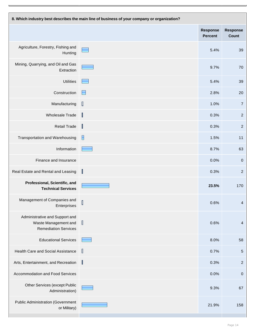| 8. Which industry best describes the main line of business of your company or organization? |                                |                                   |                                 |
|---------------------------------------------------------------------------------------------|--------------------------------|-----------------------------------|---------------------------------|
|                                                                                             |                                | <b>Response</b><br><b>Percent</b> | <b>Response</b><br><b>Count</b> |
| Agriculture, Forestry, Fishing and<br>Hunting                                               |                                | 5.4%                              | 39                              |
| Mining, Quarrying, and Oil and Gas<br>Extraction                                            |                                | 9.7%                              | 70                              |
| <b>Utilities</b>                                                                            | E                              | 5.4%                              | 39                              |
| Construction                                                                                |                                | 2.8%                              | 20                              |
| Manufacturing                                                                               | D                              | 1.0%                              | $\overline{7}$                  |
| <b>Wholesale Trade</b>                                                                      | $\mathbb I$                    | 0.3%                              | $\overline{2}$                  |
| <b>Retail Trade</b>                                                                         | $\begin{array}{c} \end{array}$ | 0.3%                              | $\overline{2}$                  |
| <b>Transportation and Warehousing</b>                                                       | Е                              | 1.5%                              | $11$                            |
| Information                                                                                 |                                | 8.7%                              | 63                              |
| Finance and Insurance                                                                       |                                | 0.0%                              | $\overline{0}$                  |
| Real Estate and Rental and Leasing                                                          | $\mathbb I$                    | 0.3%                              | $\overline{2}$                  |
| Professional, Scientific, and<br><b>Technical Services</b>                                  |                                | 23.5%                             | 170                             |
| Management of Companies and<br>Enterprises                                                  |                                | 0.6%                              | $\overline{\mathcal{A}}$        |
| Administrative and Support and<br>Waste Management and<br><b>Remediation Services</b>       | Ш                              | 0.6%                              | 4                               |
| <b>Educational Services</b>                                                                 |                                | 8.0%                              | 58                              |
| <b>Health Care and Social Assistance</b>                                                    | $\mathbb I$                    | 0.7%                              | $\sqrt{5}$                      |
| Arts, Entertainment, and Recreation                                                         | $\mathbb I$                    | 0.3%                              | $\overline{2}$                  |
| <b>Accommodation and Food Services</b>                                                      |                                | 0.0%                              | $\pmb{0}$                       |
| <b>Other Services (except Public</b><br>Administration)                                     |                                | 9.3%                              | 67                              |
| <b>Public Administration (Government</b><br>or Military)                                    |                                | 21.9%                             | 158                             |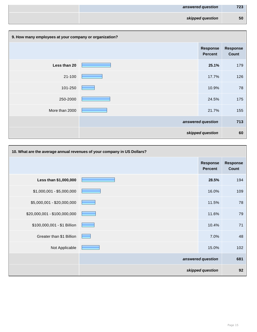| answered question | 723 |
|-------------------|-----|
| skipped question  | 50  |

| 9. How many employees at your company or organization? |  |                                   |                                 |
|--------------------------------------------------------|--|-----------------------------------|---------------------------------|
|                                                        |  | <b>Response</b><br><b>Percent</b> | <b>Response</b><br><b>Count</b> |
| Less than 20                                           |  | 25.1%                             | 179                             |
| $21 - 100$                                             |  | 17.7%                             | 126                             |
| 101-250                                                |  | 10.9%                             | 78                              |
| 250-2000                                               |  | 24.5%                             | 175                             |
| More than 2000                                         |  | 21.7%                             | 155                             |
|                                                        |  | answered question                 | 713                             |
|                                                        |  | skipped question                  | 60                              |

| 10. What are the average annual revenues of your company in US Dollars? |  |                                   |                                 |
|-------------------------------------------------------------------------|--|-----------------------------------|---------------------------------|
|                                                                         |  | <b>Response</b><br><b>Percent</b> | <b>Response</b><br><b>Count</b> |
| Less than \$1,000,000                                                   |  | 28.5%                             | 194                             |
| $$1,000,001 - $5,000,000$                                               |  | 16.0%                             | 109                             |
| \$5,000,001 - \$20,000,000                                              |  | 11.5%                             | 78                              |
| \$20,000,001 - \$100,000,000                                            |  | 11.6%                             | 79                              |
| \$100,000,001 - \$1 Billion                                             |  | 10.4%                             | 71                              |
| Greater than \$1 Billion                                                |  | 7.0%                              | 48                              |
| Not Applicable                                                          |  | 15.0%                             | 102                             |
|                                                                         |  | answered question                 | 681                             |
|                                                                         |  | skipped question                  | 92                              |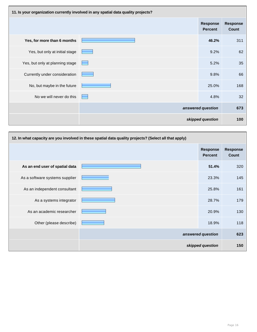| 11. Is your organization currently involved in any spatial data quality projects? |                                   |                                   |                          |
|-----------------------------------------------------------------------------------|-----------------------------------|-----------------------------------|--------------------------|
|                                                                                   |                                   | <b>Response</b><br><b>Percent</b> | <b>Response</b><br>Count |
| Yes, for more than 6 months                                                       |                                   | 46.2%                             | 311                      |
| Yes, but only at initial stage                                                    |                                   | 9.2%                              | 62                       |
| Yes, but only at planning stage                                                   | <b>Contract Contract Contract</b> | 5.2%                              | 35                       |
| Currently under consideration                                                     |                                   | 9.8%                              | 66                       |
| No, but maybe in the future                                                       |                                   | 25.0%                             | 168                      |
| No we will never do this                                                          |                                   | 4.8%                              | 32                       |
|                                                                                   |                                   | answered question                 | 673                      |
|                                                                                   |                                   | skipped question                  | 100                      |

| 12. In what capacity are you involved in these spatial data quality projects? (Select all that apply) |  |                                   |                          |
|-------------------------------------------------------------------------------------------------------|--|-----------------------------------|--------------------------|
|                                                                                                       |  | <b>Response</b><br><b>Percent</b> | <b>Response</b><br>Count |
| As an end user of spatial data                                                                        |  | 51.4%                             | 320                      |
| As a software systems supplier                                                                        |  | 23.3%                             | 145                      |
| As an independent consultant                                                                          |  | 25.8%                             | 161                      |
| As a systems integrator                                                                               |  | 28.7%                             | 179                      |
| As an academic researcher                                                                             |  | 20.9%                             | 130                      |
| Other (please describe)                                                                               |  | 18.9%                             | 118                      |
|                                                                                                       |  | answered question                 | 623                      |
|                                                                                                       |  | skipped question                  | 150                      |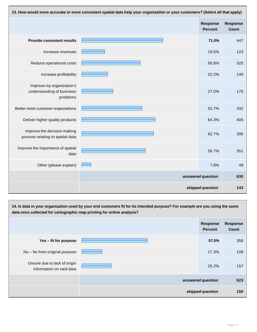| 13. How would more accurate or more consistent spatial data help your organization or your customers? (Select all that apply) |  |                                   |                                 |
|-------------------------------------------------------------------------------------------------------------------------------|--|-----------------------------------|---------------------------------|
|                                                                                                                               |  | <b>Response</b><br><b>Percent</b> | <b>Response</b><br><b>Count</b> |
| <b>Provide consistent results</b>                                                                                             |  | 71.0%                             | 447                             |
| Increase revenues                                                                                                             |  | 19.5%                             | 123                             |
| Reduce operational costs                                                                                                      |  | 50.8%                             | 320                             |
| Increase profitability                                                                                                        |  | 22.2%                             | 140                             |
| Improve my organization's<br>understanding of business<br>problems                                                            |  | 27.0%                             | 170                             |
| Better meet customer expectations                                                                                             |  | 52.7%                             | 332                             |
| Deliver higher quality products                                                                                               |  | 64.3%                             | 405                             |
| Improve the decision making<br>process relating to spatial data                                                               |  | 62.7%                             | 395                             |
| Improve the importance of spatial<br>data                                                                                     |  | 55.7%                             | 351                             |
| Other (please explain)                                                                                                        |  | 7.8%                              | 49                              |
|                                                                                                                               |  | answered question                 | 630                             |
|                                                                                                                               |  | skipped question                  | 143                             |

**14. Is data in your organization used by your end customers fit for its intended purpose? For example are you using the same data once collected for cartographic map printing for online analysis? Response Percent Response Count Yes – fit for purpose 57.5%** 358 No – far from original purpose **17.3%** 108 Unsure due to lack of origin information on said data 25.2% 157 **answered question 623 skipped question 150**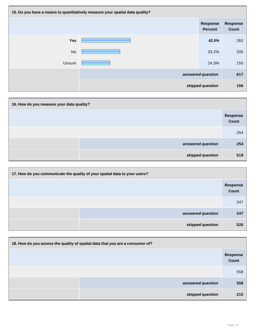| 15. Do you have a means to quantitatively measure your spatial data quality? |  |                                   |                          |
|------------------------------------------------------------------------------|--|-----------------------------------|--------------------------|
|                                                                              |  | <b>Response</b><br><b>Percent</b> | <b>Response</b><br>Count |
| <b>Yes</b>                                                                   |  | 42.5%                             | 262                      |
| <b>No</b>                                                                    |  | 33.2%                             | 205                      |
| Unsure                                                                       |  | 24.3%                             | 150                      |
|                                                                              |  | answered question                 | 617                      |
|                                                                              |  | skipped question                  | 156                      |

| 16. How do you measure your data quality? |                   |                          |  |
|-------------------------------------------|-------------------|--------------------------|--|
|                                           |                   | Response<br><b>Count</b> |  |
|                                           |                   | 254                      |  |
|                                           | answered question | 254                      |  |
|                                           | skipped question  | 519                      |  |

| 17. How do you communicate the quality of your spatial data to your users? |                   |                                 |
|----------------------------------------------------------------------------|-------------------|---------------------------------|
|                                                                            |                   | <b>Response</b><br><b>Count</b> |
|                                                                            |                   | 247                             |
|                                                                            | answered question | 247                             |
|                                                                            | skipped question  | 526                             |

| 18. How do you assess the quality of spatial data that you are a consumer of? |                          |  |
|-------------------------------------------------------------------------------|--------------------------|--|
|                                                                               | <b>Response</b><br>Count |  |
|                                                                               | 558                      |  |
| answered question                                                             | 558                      |  |
| skipped question                                                              | 215                      |  |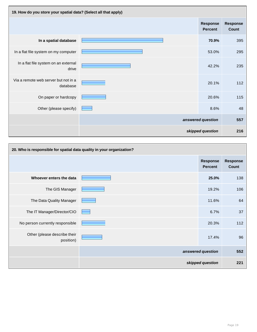| 19. How do you store your spatial data? (Select all that apply) |  |                                   |                          |
|-----------------------------------------------------------------|--|-----------------------------------|--------------------------|
|                                                                 |  | <b>Response</b><br><b>Percent</b> | <b>Response</b><br>Count |
| In a spatial database                                           |  | 70.9%                             | 395                      |
| In a flat file system on my computer                            |  | 53.0%                             | 295                      |
| In a flat file system on an external<br>drive                   |  | 42.2%                             | 235                      |
| Via a remote web server but not in a<br>database                |  | 20.1%                             | 112                      |
| On paper or hardcopy                                            |  | 20.6%                             | 115                      |
| Other (please specify)                                          |  | 8.6%                              | 48                       |
|                                                                 |  | answered question                 | 557                      |
|                                                                 |  | skipped question                  | 216                      |

| 20. Who is responsible for spatial data quality in your organization? |  |                                   |                                 |
|-----------------------------------------------------------------------|--|-----------------------------------|---------------------------------|
|                                                                       |  | <b>Response</b><br><b>Percent</b> | <b>Response</b><br><b>Count</b> |
| Whoever enters the data                                               |  | 25.0%                             | 138                             |
| The GIS Manager                                                       |  | 19.2%                             | 106                             |
| The Data Quality Manager                                              |  | 11.6%                             | 64                              |
| The IT Manager/Director/CIO                                           |  | 6.7%                              | 37                              |
| No person currently responsible                                       |  | 20.3%                             | 112                             |
| Other (please describe their<br>position)                             |  | 17.4%                             | 96                              |
|                                                                       |  | answered question                 | 552                             |
|                                                                       |  | skipped question                  | 221                             |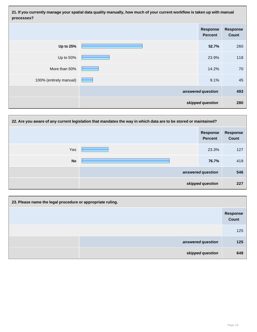**21. If you currently manage your spatial data quality manually, how much of your current workflow is taken up with manual processes?**

|                        | <b>Response</b><br><b>Percent</b> | <b>Response</b><br>Count |
|------------------------|-----------------------------------|--------------------------|
| <b>Up to 25%</b>       | 52.7%                             | 260                      |
| Up to 50%              | 23.9%                             | 118                      |
| More than 50%          | 14.2%                             | 70                       |
| 100% (entirely manual) | 9.1%                              | 45                       |
|                        | answered question                 | 493                      |
|                        | skipped question                  | 280                      |

| 22. Are you aware of any current legislation that mandates the way in which data are to be stored or maintained? |  |                                   |                                 |
|------------------------------------------------------------------------------------------------------------------|--|-----------------------------------|---------------------------------|
|                                                                                                                  |  | <b>Response</b><br><b>Percent</b> | <b>Response</b><br><b>Count</b> |
| Yes                                                                                                              |  | 23.3%                             | 127                             |
| <b>No</b>                                                                                                        |  | 76.7%                             | 419                             |
|                                                                                                                  |  | answered question                 | 546                             |
|                                                                                                                  |  | skipped question                  | 227                             |

| 23. Please name the legal procedure or appropriate ruling. |                          |
|------------------------------------------------------------|--------------------------|
|                                                            | <b>Response</b><br>Count |
|                                                            | 125                      |
| answered question                                          | 125                      |
| skipped question                                           | 648                      |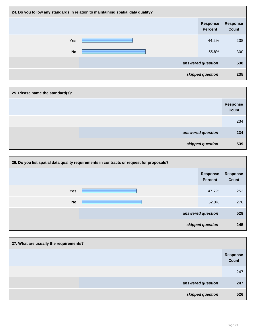| 24. Do you follow any standards in relation to maintaining spatial data quality? |  |                                   |                                 |
|----------------------------------------------------------------------------------|--|-----------------------------------|---------------------------------|
|                                                                                  |  | <b>Response</b><br><b>Percent</b> | <b>Response</b><br><b>Count</b> |
| Yes                                                                              |  | 44.2%                             | 238                             |
| <b>No</b>                                                                        |  | 55.8%                             | 300                             |
|                                                                                  |  | answered question                 | 538                             |
|                                                                                  |  | skipped question                  | 235                             |

| 25. Please name the standard(s): |                   |
|----------------------------------|-------------------|
|                                  | Response<br>Count |
|                                  | 234               |
| answered question                | 234               |
| skipped question                 | 539               |

| 26. Do you list spatial data quality requirements in contracts or request for proposals? |  |                                   |                                 |
|------------------------------------------------------------------------------------------|--|-----------------------------------|---------------------------------|
|                                                                                          |  | <b>Response</b><br><b>Percent</b> | <b>Response</b><br><b>Count</b> |
| Yes                                                                                      |  | 47.7%                             | 252                             |
| <b>No</b>                                                                                |  | 52.3%                             | 276                             |
|                                                                                          |  | answered question                 | 528                             |
| skipped question                                                                         |  | 245                               |                                 |

| 27. What are usually the requirements? |                   |
|----------------------------------------|-------------------|
|                                        | Response<br>Count |
|                                        | 247               |
| answered question                      | 247               |
| skipped question                       | 526               |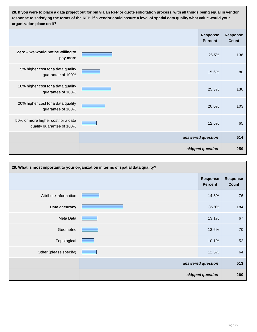**28. If you were to place a data project out for bid via an RFP or quote solicitation process, with all things being equal in vendor response to satisfying the terms of the RFP, if a vendor could assure a level of spatial data quality what value would your organization place on it?**

|                                                                 | <b>Response</b><br><b>Percent</b> | <b>Response</b><br><b>Count</b> |
|-----------------------------------------------------------------|-----------------------------------|---------------------------------|
| Zero - we would not be willing to<br>pay more                   | 26.5%                             | 136                             |
| 5% higher cost for a data quality<br>guarantee of 100%          | 15.6%                             | 80                              |
| 10% higher cost for a data quality<br>guarantee of 100%         | 25.3%                             | 130                             |
| 20% higher cost for a data quality<br>guarantee of 100%         | 20.0%                             | 103                             |
| 50% or more higher cost for a data<br>quality guarantee of 100% | 12.6%                             | 65                              |
|                                                                 | answered question                 | 514                             |
|                                                                 | skipped question                  | 259                             |

| 29. What is most important to your organization in terms of spatial data quality? |  |                                   |                          |
|-----------------------------------------------------------------------------------|--|-----------------------------------|--------------------------|
|                                                                                   |  | <b>Response</b><br><b>Percent</b> | <b>Response</b><br>Count |
| Attribute information                                                             |  | 14.8%                             | 76                       |
| Data accuracy                                                                     |  | 35.9%                             | 184                      |
| Meta Data                                                                         |  | 13.1%                             | 67                       |
| Geometric                                                                         |  | 13.6%                             | 70                       |
| Topological                                                                       |  | 10.1%                             | 52                       |
| Other (please specify)                                                            |  | 12.5%                             | 64                       |
|                                                                                   |  | answered question                 | 513                      |
|                                                                                   |  | skipped question                  | 260                      |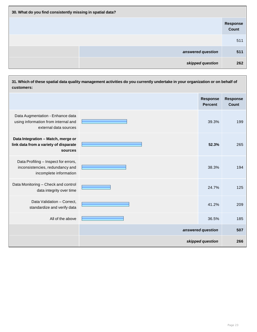| 30. What do you find consistently missing in spatial data? |                          |  |  |
|------------------------------------------------------------|--------------------------|--|--|
|                                                            | <b>Response</b><br>Count |  |  |
|                                                            | 511                      |  |  |
| answered question                                          | 511                      |  |  |
| skipped question                                           | 262                      |  |  |

| 31. Which of these spatial data quality management activities do you currently undertake in your organization or on behalf of<br>customers: |                   |                                   |                                 |
|---------------------------------------------------------------------------------------------------------------------------------------------|-------------------|-----------------------------------|---------------------------------|
|                                                                                                                                             |                   | <b>Response</b><br><b>Percent</b> | <b>Response</b><br><b>Count</b> |
| Data Augmentation - Enhance data<br>using information from internal and<br>external data sources                                            |                   | 39.3%                             | 199                             |
| Data Integration - Match, merge or<br>link data from a variety of disparate<br>sources                                                      |                   | 52.3%                             | 265                             |
| Data Profiling - Inspect for errors,<br>inconsistencies, redundancy and<br>incomplete information                                           |                   | 38.3%                             | 194                             |
| Data Monitoring - Check and control<br>data integrity over time                                                                             |                   | 24.7%                             | 125                             |
| Data Validation - Correct,<br>standardize and verify data                                                                                   |                   | 41.2%                             | 209                             |
| All of the above                                                                                                                            |                   | 36.5%                             | 185                             |
|                                                                                                                                             | answered question |                                   | 507                             |
|                                                                                                                                             | skipped question  |                                   | 266                             |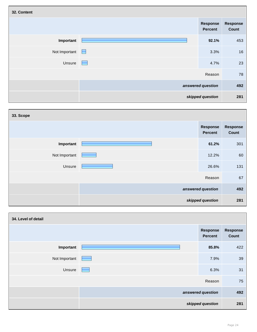| 32. Content   |                   |                                   |                          |
|---------------|-------------------|-----------------------------------|--------------------------|
|               |                   | <b>Response</b><br><b>Percent</b> | <b>Response</b><br>Count |
| Important     |                   | 92.1%                             | 453                      |
| Not Important | $\Box$            | 3.3%                              | 16                       |
| Unsure        | ۰                 | 4.7%                              | 23                       |
|               |                   | Reason                            | 78                       |
|               | answered question |                                   | 492                      |
|               |                   | skipped question                  | 281                      |

| 33. Scope         |  |                                   |                          |
|-------------------|--|-----------------------------------|--------------------------|
|                   |  | <b>Response</b><br><b>Percent</b> | <b>Response</b><br>Count |
| Important         |  | 61.2%                             | 301                      |
| Not Important     |  | 12.2%                             | 60                       |
| Unsure            |  | 26.6%                             | 131                      |
|                   |  | Reason                            | 67                       |
| answered question |  | 492                               |                          |
|                   |  | skipped question                  | 281                      |

| 34. Level of detail |                   |                                   |                          |
|---------------------|-------------------|-----------------------------------|--------------------------|
|                     |                   | <b>Response</b><br><b>Percent</b> | <b>Response</b><br>Count |
| Important           |                   | 85.8%                             | 422                      |
| Not Important       |                   | 7.9%                              | 39                       |
| Unsure              |                   | 6.3%                              | 31                       |
| Reason              |                   | 75                                |                          |
|                     | answered question |                                   | 492                      |
|                     |                   | skipped question                  | 281                      |